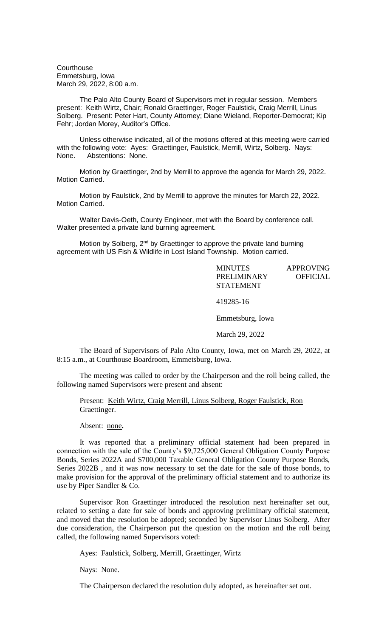**Courthouse** Emmetsburg, Iowa March 29, 2022, 8:00 a.m.

The Palo Alto County Board of Supervisors met in regular session. Members present: Keith Wirtz, Chair; Ronald Graettinger, Roger Faulstick, Craig Merrill, Linus Solberg. Present: Peter Hart, County Attorney; Diane Wieland, Reporter-Democrat; Kip Fehr; Jordan Morey, Auditor's Office.

Unless otherwise indicated, all of the motions offered at this meeting were carried with the following vote: Ayes: Graettinger, Faulstick, Merrill, Wirtz, Solberg. Nays: None. Abstentions: None.

Motion by Graettinger, 2nd by Merrill to approve the agenda for March 29, 2022. Motion Carried.

Motion by Faulstick, 2nd by Merrill to approve the minutes for March 22, 2022. Motion Carried.

Walter Davis-Oeth, County Engineer, met with the Board by conference call. Walter presented a private land burning agreement.

Motion by Solberg, 2<sup>nd</sup> by Graettinger to approve the private land burning agreement with US Fish & Wildlife in Lost Island Township. Motion carried.

> MINUTES APPROVING PRELIMINARY OFFICIAL STATEMENT 419285-16 Emmetsburg, Iowa March 29, 2022

The Board of Supervisors of Palo Alto County, Iowa, met on March 29, 2022, at 8:15 a.m., at Courthouse Boardroom, Emmetsburg, Iowa.

The meeting was called to order by the Chairperson and the roll being called, the following named Supervisors were present and absent:

Present: Keith Wirtz, Craig Merrill, Linus Solberg, Roger Faulstick, Ron Graettinger.

Absent: none**.**

It was reported that a preliminary official statement had been prepared in connection with the sale of the County's \$9,725,000 General Obligation County Purpose Bonds, Series 2022A and \$700,000 Taxable General Obligation County Purpose Bonds, Series 2022B , and it was now necessary to set the date for the sale of those bonds, to make provision for the approval of the preliminary official statement and to authorize its use by Piper Sandler & Co.

Supervisor Ron Graettinger introduced the resolution next hereinafter set out, related to setting a date for sale of bonds and approving preliminary official statement, and moved that the resolution be adopted; seconded by Supervisor Linus Solberg. After due consideration, the Chairperson put the question on the motion and the roll being called, the following named Supervisors voted:

Ayes: Faulstick, Solberg, Merrill, Graettinger, Wirtz

Nays: None.

The Chairperson declared the resolution duly adopted, as hereinafter set out.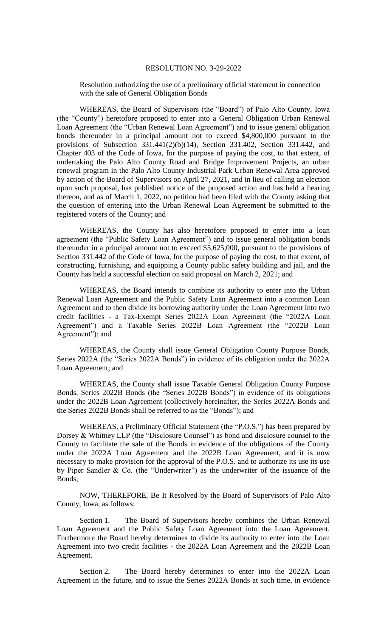## RESOLUTION NO. 3-29-2022

Resolution authorizing the use of a preliminary official statement in connection with the sale of General Obligation Bonds

WHEREAS, the Board of Supervisors (the "Board") of Palo Alto County, Iowa (the "County") heretofore proposed to enter into a General Obligation Urban Renewal Loan Agreement (the "Urban Renewal Loan Agreement") and to issue general obligation bonds thereunder in a principal amount not to exceed \$4,800,000 pursuant to the provisions of Subsection 331.441(2)(b)(14), Section 331.402, Section 331.442, and Chapter 403 of the Code of Iowa, for the purpose of paying the cost, to that extent, of undertaking the Palo Alto County Road and Bridge Improvement Projects, an urban renewal program in the Palo Alto County Industrial Park Urban Renewal Area approved by action of the Board of Supervisors on April 27, 2021, and in lieu of calling an election upon such proposal, has published notice of the proposed action and has held a hearing thereon, and as of March 1, 2022, no petition had been filed with the County asking that the question of entering into the Urban Renewal Loan Agreement be submitted to the registered voters of the County; and

WHEREAS, the County has also heretofore proposed to enter into a loan agreement (the "Public Safety Loan Agreement") and to issue general obligation bonds thereunder in a principal amount not to exceed \$5,625,000, pursuant to the provisions of Section 331.442 of the Code of Iowa, for the purpose of paying the cost, to that extent, of constructing, furnishing, and equipping a County public safety building and jail, and the County has held a successful election on said proposal on March 2, 2021; and

WHEREAS, the Board intends to combine its authority to enter into the Urban Renewal Loan Agreement and the Public Safety Loan Agreement into a common Loan Agreement and to then divide its borrowing authority under the Loan Agreement into two credit facilities - a Tax-Exempt Series 2022A Loan Agreement (the "2022A Loan Agreement") and a Taxable Series 2022B Loan Agreement (the "2022B Loan Agreement"); and

WHEREAS, the County shall issue General Obligation County Purpose Bonds, Series 2022A (the "Series 2022A Bonds") in evidence of its obligation under the 2022A Loan Agreement; and

WHEREAS, the County shall issue Taxable General Obligation County Purpose Bonds, Series 2022B Bonds (the "Series 2022B Bonds") in evidence of its obligations under the 2022B Loan Agreement (collectively hereinafter, the Series 2022A Bonds and the Series 2022B Bonds shall be referred to as the "Bonds"); and

WHEREAS, a Preliminary Official Statement (the "P.O.S.") has been prepared by Dorsey & Whitney LLP (the "Disclosure Counsel") as bond and disclosure counsel to the County to facilitate the sale of the Bonds in evidence of the obligations of the County under the 2022A Loan Agreement and the 2022B Loan Agreement, and it is now necessary to make provision for the approval of the P.O.S. and to authorize its use its use by Piper Sandler  $\&$  Co. (the "Underwriter") as the underwriter of the issuance of the Bonds;

NOW, THEREFORE, Be It Resolved by the Board of Supervisors of Palo Alto County, Iowa, as follows:

Section 1. The Board of Supervisors hereby combines the Urban Renewal Loan Agreement and the Public Safety Loan Agreement into the Loan Agreement. Furthermore the Board hereby determines to divide its authority to enter into the Loan Agreement into two credit facilities - the 2022A Loan Agreement and the 2022B Loan Agreement.

Section 2. The Board hereby determines to enter into the 2022A Loan Agreement in the future, and to issue the Series 2022A Bonds at such time, in evidence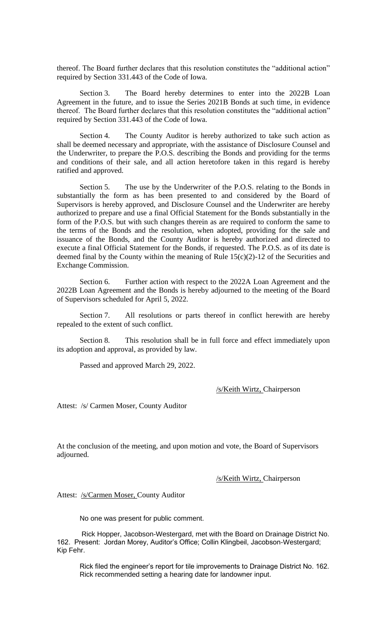thereof. The Board further declares that this resolution constitutes the "additional action" required by Section 331.443 of the Code of Iowa.

Section 3. The Board hereby determines to enter into the 2022B Loan Agreement in the future, and to issue the Series 2021B Bonds at such time, in evidence thereof. The Board further declares that this resolution constitutes the "additional action" required by Section 331.443 of the Code of Iowa.

Section 4. The County Auditor is hereby authorized to take such action as shall be deemed necessary and appropriate, with the assistance of Disclosure Counsel and the Underwriter, to prepare the P.O.S. describing the Bonds and providing for the terms and conditions of their sale, and all action heretofore taken in this regard is hereby ratified and approved.

Section 5. The use by the Underwriter of the P.O.S. relating to the Bonds in substantially the form as has been presented to and considered by the Board of Supervisors is hereby approved, and Disclosure Counsel and the Underwriter are hereby authorized to prepare and use a final Official Statement for the Bonds substantially in the form of the P.O.S. but with such changes therein as are required to conform the same to the terms of the Bonds and the resolution, when adopted, providing for the sale and issuance of the Bonds, and the County Auditor is hereby authorized and directed to execute a final Official Statement for the Bonds, if requested. The P.O.S. as of its date is deemed final by the County within the meaning of Rule  $15(c)(2)-12$  of the Securities and Exchange Commission.

Section 6. Further action with respect to the 2022A Loan Agreement and the 2022B Loan Agreement and the Bonds is hereby adjourned to the meeting of the Board of Supervisors scheduled for April 5, 2022.

Section 7. All resolutions or parts thereof in conflict herewith are hereby repealed to the extent of such conflict.

Section 8. This resolution shall be in full force and effect immediately upon its adoption and approval, as provided by law.

Passed and approved March 29, 2022.

/s/Keith Wirtz, Chairperson

Attest: /s/ Carmen Moser, County Auditor

At the conclusion of the meeting, and upon motion and vote, the Board of Supervisors adjourned.

/s/Keith Wirtz, Chairperson

Attest: /s/Carmen Moser, County Auditor

No one was present for public comment.

Rick Hopper, Jacobson-Westergard, met with the Board on Drainage District No. 162. Present: Jordan Morey, Auditor's Office; Collin Klingbeil, Jacobson-Westergard; Kip Fehr.

Rick filed the engineer's report for tile improvements to Drainage District No. 162. Rick recommended setting a hearing date for landowner input.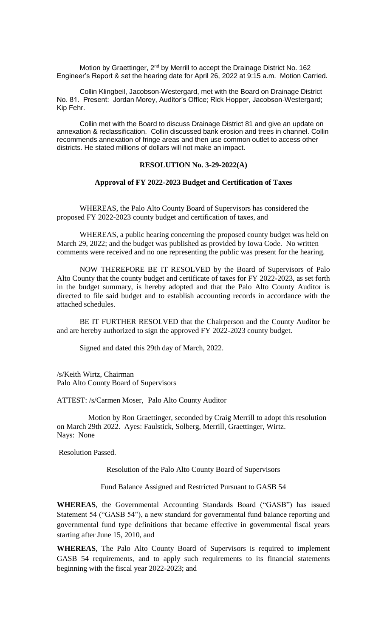Motion by Graettinger, 2<sup>nd</sup> by Merrill to accept the Drainage District No. 162 Engineer's Report & set the hearing date for April 26, 2022 at 9:15 a.m. Motion Carried.

Collin Klingbeil, Jacobson-Westergard, met with the Board on Drainage District No. 81. Present: Jordan Morey, Auditor's Office; Rick Hopper, Jacobson-Westergard; Kip Fehr.

Collin met with the Board to discuss Drainage District 81 and give an update on annexation & reclassification. Collin discussed bank erosion and trees in channel. Collin recommends annexation of fringe areas and then use common outlet to access other districts. He stated millions of dollars will not make an impact.

## **RESOLUTION No. 3-29-2022(A)**

## **Approval of FY 2022-2023 Budget and Certification of Taxes**

WHEREAS, the Palo Alto County Board of Supervisors has considered the proposed FY 2022-2023 county budget and certification of taxes, and

WHEREAS, a public hearing concerning the proposed county budget was held on March 29, 2022; and the budget was published as provided by Iowa Code. No written comments were received and no one representing the public was present for the hearing.

NOW THEREFORE BE IT RESOLVED by the Board of Supervisors of Palo Alto County that the county budget and certificate of taxes for FY 2022-2023, as set forth in the budget summary, is hereby adopted and that the Palo Alto County Auditor is directed to file said budget and to establish accounting records in accordance with the attached schedules.

BE IT FURTHER RESOLVED that the Chairperson and the County Auditor be and are hereby authorized to sign the approved FY 2022-2023 county budget.

Signed and dated this 29th day of March, 2022.

/s/Keith Wirtz, Chairman Palo Alto County Board of Supervisors

ATTEST: /s/Carmen Moser, Palo Alto County Auditor

Motion by Ron Graettinger, seconded by Craig Merrill to adopt this resolution on March 29th 2022. Ayes: Faulstick, Solberg, Merrill, Graettinger, Wirtz. Nays: None

Resolution Passed.

Resolution of the Palo Alto County Board of Supervisors

Fund Balance Assigned and Restricted Pursuant to GASB 54

**WHEREAS**, the Governmental Accounting Standards Board ("GASB") has issued Statement 54 ("GASB 54"), a new standard for governmental fund balance reporting and governmental fund type definitions that became effective in governmental fiscal years starting after June 15, 2010, and

**WHEREAS**, The Palo Alto County Board of Supervisors is required to implement GASB 54 requirements, and to apply such requirements to its financial statements beginning with the fiscal year 2022-2023; and